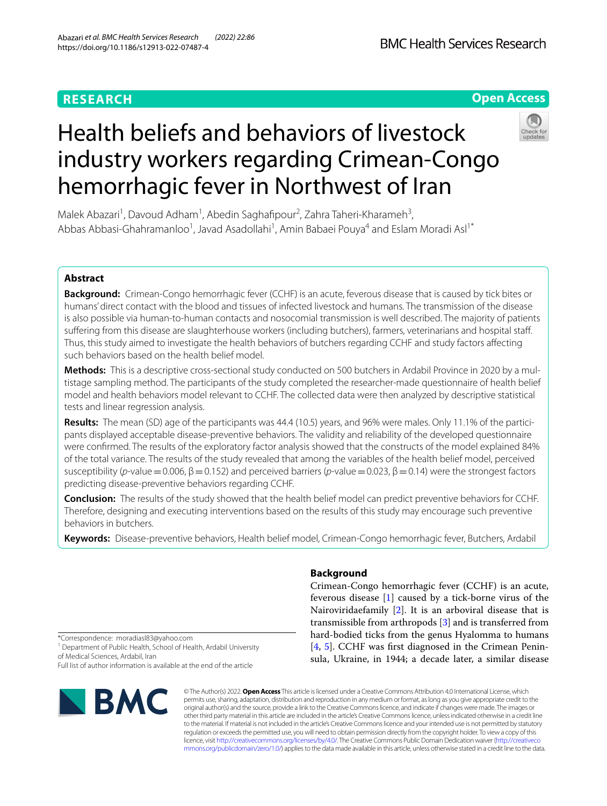# **RESEARCH**

# **Open Access**

# Health beliefs and behaviors of livestock industry workers regarding Crimean-Congo hemorrhagic fever in Northwest of Iran



Malek Abazari<sup>1</sup>, Davoud Adham<sup>1</sup>, Abedin Saghafipour<sup>2</sup>, Zahra Taheri-Kharameh<sup>3</sup>, Abbas Abbasi-Ghahramanloo<sup>1</sup>, Javad Asadollahi<sup>1</sup>, Amin Babaei Pouya<sup>4</sup> and Eslam Moradi Asl<sup>1\*</sup>

# **Abstract**

**Background:** Crimean-Congo hemorrhagic fever (CCHF) is an acute, feverous disease that is caused by tick bites or humans' direct contact with the blood and tissues of infected livestock and humans. The transmission of the disease is also possible via human-to-human contacts and nosocomial transmission is well described. The majority of patients sufering from this disease are slaughterhouse workers (including butchers), farmers, veterinarians and hospital staf. Thus, this study aimed to investigate the health behaviors of butchers regarding CCHF and study factors afecting such behaviors based on the health belief model.

**Methods:** This is a descriptive cross-sectional study conducted on 500 butchers in Ardabil Province in 2020 by a mul‑ tistage sampling method. The participants of the study completed the researcher-made questionnaire of health belief model and health behaviors model relevant to CCHF. The collected data were then analyzed by descriptive statistical tests and linear regression analysis.

Results: The mean (SD) age of the participants was 44.4 (10.5) years, and 96% were males. Only 11.1% of the participants displayed acceptable disease-preventive behaviors. The validity and reliability of the developed questionnaire were confrmed. The results of the exploratory factor analysis showed that the constructs of the model explained 84% of the total variance. The results of the study revealed that among the variables of the health belief model, perceived susceptibility (*p*-value = 0.006, β = 0.152) and perceived barriers (*p*-value = 0.023, β = 0.14) were the strongest factors predicting disease-preventive behaviors regarding CCHF.

**Conclusion:** The results of the study showed that the health belief model can predict preventive behaviors for CCHF. Therefore, designing and executing interventions based on the results of this study may encourage such preventive behaviors in butchers.

**Keywords:** Disease-preventive behaviors, Health belief model, Crimean-Congo hemorrhagic fever, Butchers, Ardabil

# \*Correspondence: moradiasl83@yahoo.com

<sup>1</sup> Department of Public Health, School of Health, Ardabil University of Medical Sciences, Ardabil, Iran

Full list of author information is available at the end of the article



# **Background**

Crimean-Congo hemorrhagic fever (CCHF) is an acute, feverous disease [[1\]](#page-5-0) caused by a tick-borne virus of the Nairoviridaefamily [[2\]](#page-5-1). It is an arboviral disease that is transmissible from arthropods [\[3](#page-5-2)] and is transferred from hard-bodied ticks from the genus Hyalomma to humans [[4,](#page-5-3) [5](#page-5-4)]. CCHF was frst diagnosed in the Crimean Peninsula, Ukraine, in 1944; a decade later, a similar disease

© The Author(s) 2022. **Open Access** This article is licensed under a Creative Commons Attribution 4.0 International License, which permits use, sharing, adaptation, distribution and reproduction in any medium or format, as long as you give appropriate credit to the original author(s) and the source, provide a link to the Creative Commons licence, and indicate if changes were made. The images or other third party material in this article are included in the article's Creative Commons licence, unless indicated otherwise in a credit line to the material. If material is not included in the article's Creative Commons licence and your intended use is not permitted by statutory regulation or exceeds the permitted use, you will need to obtain permission directly from the copyright holder. To view a copy of this licence, visit [http://creativecommons.org/licenses/by/4.0/.](http://creativecommons.org/licenses/by/4.0/) The Creative Commons Public Domain Dedication waiver ([http://creativeco](http://creativecommons.org/publicdomain/zero/1.0/) [mmons.org/publicdomain/zero/1.0/](http://creativecommons.org/publicdomain/zero/1.0/)) applies to the data made available in this article, unless otherwise stated in a credit line to the data.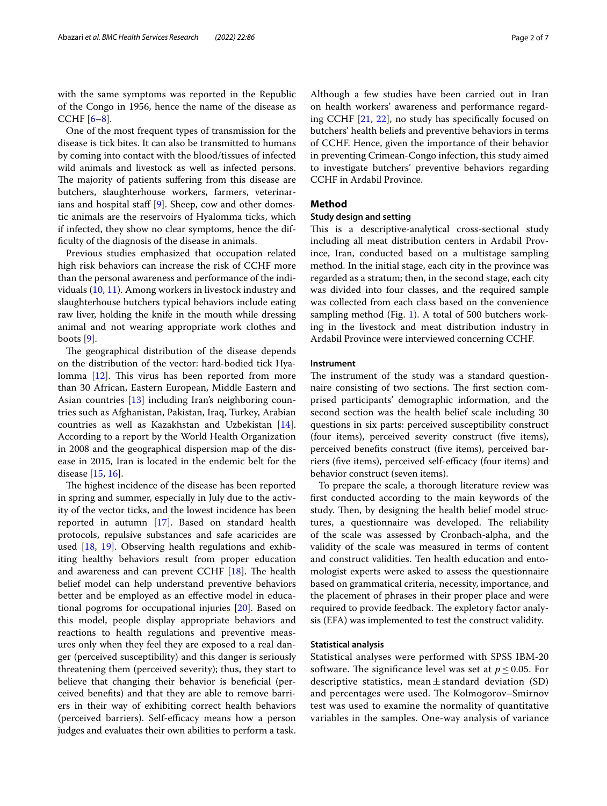with the same symptoms was reported in the Republic of the Congo in 1956, hence the name of the disease as CCHF  $[6-8]$  $[6-8]$  $[6-8]$ .

One of the most frequent types of transmission for the disease is tick bites. It can also be transmitted to humans by coming into contact with the blood/tissues of infected wild animals and livestock as well as infected persons. The majority of patients suffering from this disease are butchers, slaughterhouse workers, farmers, veterinar-ians and hospital staff [[9\]](#page-6-0). Sheep, cow and other domestic animals are the reservoirs of Hyalomma ticks, which if infected, they show no clear symptoms, hence the diffculty of the diagnosis of the disease in animals.

Previous studies emphasized that occupation related high risk behaviors can increase the risk of CCHF more than the personal awareness and performance of the individuals ([10,](#page-6-1) [11](#page-6-2)). Among workers in livestock industry and slaughterhouse butchers typical behaviors include eating raw liver, holding the knife in the mouth while dressing animal and not wearing appropriate work clothes and boots [\[9\]](#page-6-0).

The geographical distribution of the disease depends on the distribution of the vector: hard-bodied tick Hya-lomma [\[12](#page-6-3)]. This virus has been reported from more than 30 African, Eastern European, Middle Eastern and Asian countries [[13\]](#page-6-4) including Iran's neighboring countries such as Afghanistan, Pakistan, Iraq, Turkey, Arabian countries as well as Kazakhstan and Uzbekistan [\[14](#page-6-5)]. According to a report by the World Health Organization in 2008 and the geographical dispersion map of the disease in 2015, Iran is located in the endemic belt for the disease [\[15](#page-6-6), [16\]](#page-6-7).

The highest incidence of the disease has been reported in spring and summer, especially in July due to the activity of the vector ticks, and the lowest incidence has been reported in autumn [\[17\]](#page-6-8). Based on standard health protocols, repulsive substances and safe acaricides are used [\[18,](#page-6-9) [19](#page-6-10)]. Observing health regulations and exhibiting healthy behaviors result from proper education and awareness and can prevent CCHF  $[18]$  $[18]$ . The health belief model can help understand preventive behaviors better and be employed as an efective model in educational pogroms for occupational injuries [\[20\]](#page-6-11). Based on this model, people display appropriate behaviors and reactions to health regulations and preventive measures only when they feel they are exposed to a real danger (perceived susceptibility) and this danger is seriously threatening them (perceived severity); thus, they start to believe that changing their behavior is benefcial (perceived benefts) and that they are able to remove barriers in their way of exhibiting correct health behaviors (perceived barriers). Self-efficacy means how a person judges and evaluates their own abilities to perform a task. Although a few studies have been carried out in Iran on health workers' awareness and performance regarding CCHF [[21,](#page-6-12) [22](#page-6-13)], no study has specifcally focused on butchers' health beliefs and preventive behaviors in terms of CCHF. Hence, given the importance of their behavior in preventing Crimean-Congo infection, this study aimed to investigate butchers' preventive behaviors regarding CCHF in Ardabil Province.

# **Method**

## **Study design and setting**

This is a descriptive-analytical cross-sectional study including all meat distribution centers in Ardabil Province, Iran, conducted based on a multistage sampling method. In the initial stage, each city in the province was regarded as a stratum; then, in the second stage, each city was divided into four classes, and the required sample was collected from each class based on the convenience sampling method (Fig. [1](#page-2-0)). A total of 500 butchers working in the livestock and meat distribution industry in Ardabil Province were interviewed concerning CCHF.

#### **Instrument**

The instrument of the study was a standard questionnaire consisting of two sections. The first section comprised participants' demographic information, and the second section was the health belief scale including 30 questions in six parts: perceived susceptibility construct (four items), perceived severity construct (fve items), perceived benefits construct (five items), perceived barriers (five items), perceived self-efficacy (four items) and behavior construct (seven items).

To prepare the scale, a thorough literature review was frst conducted according to the main keywords of the study. Then, by designing the health belief model structures, a questionnaire was developed. The reliability of the scale was assessed by Cronbach-alpha, and the validity of the scale was measured in terms of content and construct validities. Ten health education and entomologist experts were asked to assess the questionnaire based on grammatical criteria, necessity, importance, and the placement of phrases in their proper place and were required to provide feedback. The expletory factor analysis (EFA) was implemented to test the construct validity.

## **Statistical analysis**

Statistical analyses were performed with SPSS IBM-20 software. The significance level was set at  $p \leq 0.05$ . For descriptive statistics, mean $\pm$ standard deviation (SD) and percentages were used. The Kolmogorov-Smirnov test was used to examine the normality of quantitative variables in the samples. One-way analysis of variance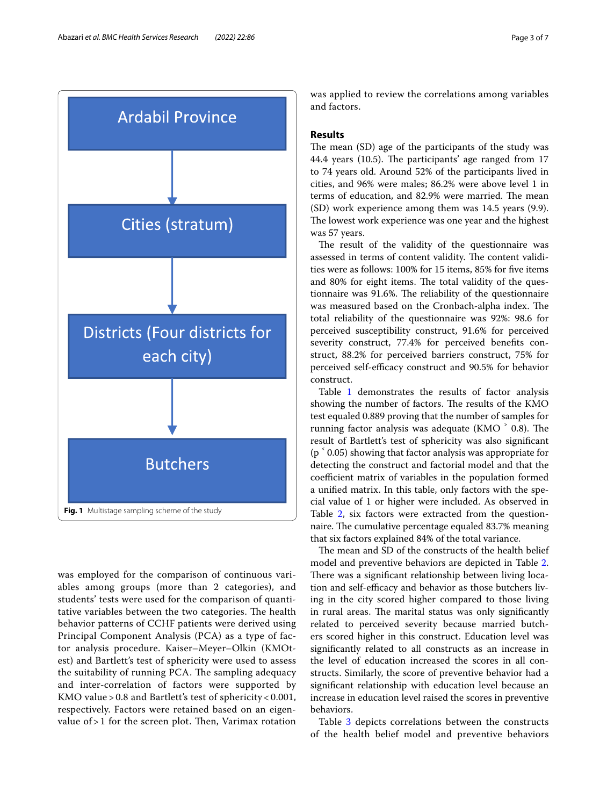

<span id="page-2-0"></span>was employed for the comparison of continuous variables among groups (more than 2 categories), and students' tests were used for the comparison of quantitative variables between the two categories. The health behavior patterns of CCHF patients were derived using Principal Component Analysis (PCA) as a type of factor analysis procedure. Kaiser–Meyer–Olkin (KMOtest) and Bartlett's test of sphericity were used to assess the suitability of running PCA. The sampling adequacy and inter-correlation of factors were supported by KMO value > 0.8 and Bartlett's test of sphericity < 0.001, respectively. Factors were retained based on an eigenvalue of  $> 1$  for the screen plot. Then, Varimax rotation was applied to review the correlations among variables and factors.

## **Results**

The mean (SD) age of the participants of the study was 44.4 years (10.5). The participants' age ranged from 17 to 74 years old. Around 52% of the participants lived in cities, and 96% were males; 86.2% were above level 1 in terms of education, and 82.9% were married. The mean (SD) work experience among them was 14.5 years (9.9). The lowest work experience was one year and the highest was 57 years.

The result of the validity of the questionnaire was assessed in terms of content validity. The content validities were as follows: 100% for 15 items, 85% for fve items and 80% for eight items. The total validity of the questionnaire was 91.6%. The reliability of the questionnaire was measured based on the Cronbach-alpha index. The total reliability of the questionnaire was 92%: 98.6 for perceived susceptibility construct, 91.6% for perceived severity construct, 77.4% for perceived benefts construct, 88.2% for perceived barriers construct, 75% for perceived self-efficacy construct and 90.5% for behavior construct.

Table [1](#page-3-0) demonstrates the results of factor analysis showing the number of factors. The results of the KMO test equaled 0.889 proving that the number of samples for running factor analysis was adequate (KMO $\degree$  0.8). The result of Bartlett's test of sphericity was also signifcant  $(p \n\in (0.05)$  showing that factor analysis was appropriate for detecting the construct and factorial model and that the coefficient matrix of variables in the population formed a unifed matrix. In this table, only factors with the special value of 1 or higher were included. As observed in Table [2](#page-4-0), six factors were extracted from the questionnaire. The cumulative percentage equaled 83.7% meaning that six factors explained 84% of the total variance.

The mean and SD of the constructs of the health belief model and preventive behaviors are depicted in Table [2](#page-4-0). There was a significant relationship between living location and self-efficacy and behavior as those butchers living in the city scored higher compared to those living in rural areas. The marital status was only significantly related to perceived severity because married butchers scored higher in this construct. Education level was signifcantly related to all constructs as an increase in the level of education increased the scores in all constructs. Similarly, the score of preventive behavior had a signifcant relationship with education level because an increase in education level raised the scores in preventive behaviors.

Table [3](#page-4-1) depicts correlations between the constructs of the health belief model and preventive behaviors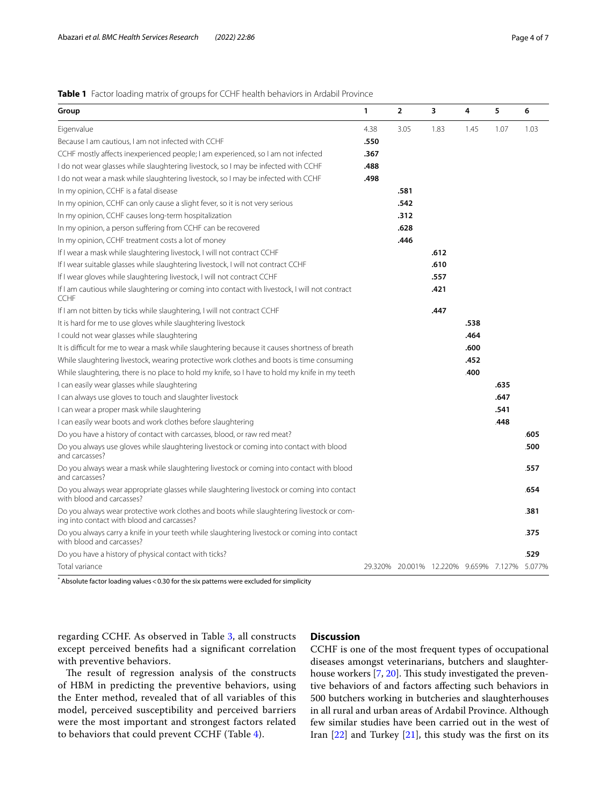# <span id="page-3-0"></span>**Table 1** Factor loading matrix of groups for CCHF health behaviors in Ardabil Province

| Group                                                                                                                                   | $\mathbf{1}$ | $\overline{2}$ | 3                                            | 4    | 5    | 6    |
|-----------------------------------------------------------------------------------------------------------------------------------------|--------------|----------------|----------------------------------------------|------|------|------|
| Eigenvalue                                                                                                                              | 4.38         | 3.05           | 1.83                                         | 1.45 | 1.07 | 1.03 |
| Because I am cautious, I am not infected with CCHF                                                                                      | .550         |                |                                              |      |      |      |
| CCHF mostly affects inexperienced people; I am experienced, so I am not infected                                                        | .367         |                |                                              |      |      |      |
| I do not wear glasses while slaughtering livestock, so I may be infected with CCHF                                                      | .488         |                |                                              |      |      |      |
| I do not wear a mask while slaughtering livestock, so I may be infected with CCHF                                                       | .498         |                |                                              |      |      |      |
| In my opinion, CCHF is a fatal disease                                                                                                  |              | .581           |                                              |      |      |      |
| In my opinion, CCHF can only cause a slight fever, so it is not very serious                                                            |              | .542           |                                              |      |      |      |
| In my opinion, CCHF causes long-term hospitalization                                                                                    |              | .312           |                                              |      |      |      |
| In my opinion, a person suffering from CCHF can be recovered                                                                            |              | .628           |                                              |      |      |      |
| In my opinion, CCHF treatment costs a lot of money                                                                                      |              | .446           |                                              |      |      |      |
| If I wear a mask while slaughtering livestock, I will not contract CCHF                                                                 |              |                | .612                                         |      |      |      |
| If I wear suitable glasses while slaughtering livestock, I will not contract CCHF                                                       |              |                | .610                                         |      |      |      |
| If I wear gloves while slaughtering livestock, I will not contract CCHF                                                                 |              |                | .557                                         |      |      |      |
| If I am cautious while slaughtering or coming into contact with livestock, I will not contract<br><b>CCHF</b>                           |              |                | .421                                         |      |      |      |
| If I am not bitten by ticks while slaughtering, I will not contract CCHF                                                                |              |                | .447                                         |      |      |      |
| It is hard for me to use gloves while slaughtering livestock                                                                            |              |                |                                              | .538 |      |      |
| I could not wear glasses while slaughtering                                                                                             |              |                |                                              | .464 |      |      |
| It is difficult for me to wear a mask while slaughtering because it causes shortness of breath                                          |              |                |                                              | .600 |      |      |
| While slaughtering livestock, wearing protective work clothes and boots is time consuming                                               |              |                |                                              | .452 |      |      |
| While slaughtering, there is no place to hold my knife, so I have to hold my knife in my teeth                                          |              |                |                                              | .400 |      |      |
| I can easily wear glasses while slaughtering                                                                                            |              |                |                                              |      | .635 |      |
| I can always use gloves to touch and slaughter livestock                                                                                |              |                |                                              |      | .647 |      |
| I can wear a proper mask while slaughtering                                                                                             |              |                |                                              |      | .541 |      |
| I can easily wear boots and work clothes before slaughtering                                                                            |              |                |                                              |      | .448 |      |
| Do you have a history of contact with carcasses, blood, or raw red meat?                                                                |              |                |                                              |      |      | .605 |
| Do you always use gloves while slaughtering livestock or coming into contact with blood<br>and carcasses?                               |              |                |                                              |      |      | .500 |
| Do you always wear a mask while slaughtering livestock or coming into contact with blood<br>and carcasses?                              |              |                |                                              |      |      | .557 |
| Do you always wear appropriate glasses while slaughtering livestock or coming into contact<br>with blood and carcasses?                 |              |                |                                              |      |      | .654 |
| Do you always wear protective work clothes and boots while slaughtering livestock or com-<br>ing into contact with blood and carcasses? |              |                |                                              |      |      | .381 |
| Do you always carry a knife in your teeth while slaughtering livestock or coming into contact<br>with blood and carcasses?              |              |                |                                              |      |      | .375 |
| Do you have a history of physical contact with ticks?                                                                                   |              |                |                                              |      |      | .529 |
| Total variance                                                                                                                          |              |                | 29.320% 20.001% 12.220% 9.659% 7.127% 5.077% |      |      |      |
|                                                                                                                                         |              |                |                                              |      |      |      |

\* Absolute factor loading values<0.30 for the six patterns were excluded for simplicity

regarding CCHF. As observed in Table [3](#page-4-1), all constructs except perceived benefts had a signifcant correlation with preventive behaviors.

# The result of regression analysis of the constructs of HBM in predicting the preventive behaviors, using the Enter method, revealed that of all variables of this model, perceived susceptibility and perceived barriers were the most important and strongest factors related to behaviors that could prevent CCHF (Table [4\)](#page-4-2).

## **Discussion**

CCHF is one of the most frequent types of occupational diseases amongst veterinarians, butchers and slaughter-house workers [\[7](#page-5-7), [20\]](#page-6-11). This study investigated the preventive behaviors of and factors afecting such behaviors in 500 butchers working in butcheries and slaughterhouses in all rural and urban areas of Ardabil Province. Although few similar studies have been carried out in the west of Iran [\[22](#page-6-13)] and Turkey [\[21\]](#page-6-12), this study was the frst on its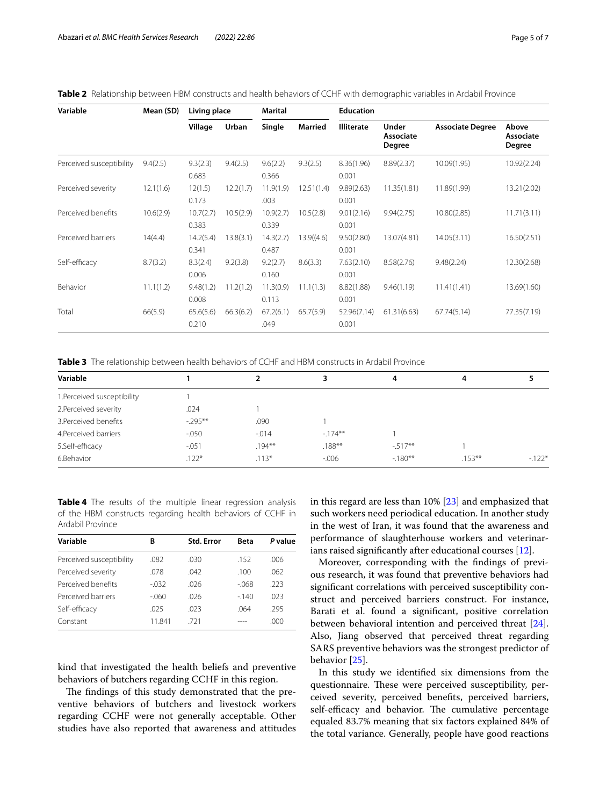<span id="page-4-0"></span>

|  |  | Table 2 Relationship between HBM constructs and health behaviors of CCHF with demographic variables in Ardabil Province |  |  |  |  |  |
|--|--|-------------------------------------------------------------------------------------------------------------------------|--|--|--|--|--|
|--|--|-------------------------------------------------------------------------------------------------------------------------|--|--|--|--|--|

| Variable                 | Mean (SD) | Living place       |           | Marital            |                | <b>Education</b>     |                              |                         |                              |
|--------------------------|-----------|--------------------|-----------|--------------------|----------------|----------------------|------------------------------|-------------------------|------------------------------|
|                          |           | Village            | Urban     | Single             | <b>Married</b> | <b>Illiterate</b>    | Under<br>Associate<br>Degree | <b>Associate Degree</b> | Above<br>Associate<br>Degree |
| Perceived susceptibility | 9.4(2.5)  | 9.3(2.3)<br>0.683  | 9.4(2.5)  | 9.6(2.2)<br>0.366  | 9.3(2.5)       | 8.36(1.96)<br>0.001  | 8.89(2.37)                   | 10.09(1.95)             | 10.92(2.24)                  |
| Perceived severity       | 12.1(1.6) | 12(1.5)<br>0.173   | 12.2(1.7) | 11.9(1.9)<br>.003  | 12.51(1.4)     | 9.89(2.63)<br>0.001  | 11.35(1.81)                  | 11.89(1.99)             | 13.21(2.02)                  |
| Perceived benefits       | 10.6(2.9) | 10.7(2.7)<br>0.383 | 10.5(2.9) | 10.9(2.7)<br>0.339 | 10.5(2.8)      | 9.01(2.16)<br>0.001  | 9.94(2.75)                   | 10.80(2.85)             | 11.71(3.11)                  |
| Perceived barriers       | 14(4.4)   | 14.2(5.4)<br>0.341 | 13.8(3.1) | 14.3(2.7)<br>0.487 | 13.9( (4.6)    | 9.50(2.80)<br>0.001  | 13.07(4.81)                  | 14.05(3.11)             | 16.50(2.51)                  |
| Self-efficacy            | 8.7(3.2)  | 8.3(2.4)<br>0.006  | 9.2(3.8)  | 9.2(2.7)<br>0.160  | 8.6(3.3)       | 7.63(2.10)<br>0.001  | 8.58(2.76)                   | 9.48(2.24)              | 12.30(2.68)                  |
| Behavior                 | 11.1(1.2) | 9.48(1.2)<br>0.008 | 11.2(1.2) | 11.3(0.9)<br>0.113 | 11.1(1.3)      | 8.82(1.88)<br>0.001  | 9.46(1.19)                   | 11.41(1.41)             | 13.69(1.60)                  |
| Total                    | 66(5.9)   | 65.6(5.6)<br>0.210 | 66.3(6.2) | 67.2(6.1)<br>.049  | 65.7(5.9)      | 52.96(7.14)<br>0.001 | 61.31(6.63)                  | 67.74(5.14)             | 77.35(7.19)                  |

<span id="page-4-1"></span>**Table 3** The relationship between health behaviors of CCHF and HBM constructs in Ardabil Province

| Variable                    |           |           | 3         |          | 4         |         |
|-----------------------------|-----------|-----------|-----------|----------|-----------|---------|
| 1. Perceived susceptibility |           |           |           |          |           |         |
| 2. Perceived severity       | .024      |           |           |          |           |         |
| 3. Perceived benefits       | $-295***$ | .090      |           |          |           |         |
| 4. Perceived barriers       | $-0.050$  | $-0.014$  | $-174**$  |          |           |         |
| 5.Self-efficacy             | $-.051$   | $.194***$ | $.188***$ | $-517**$ |           |         |
| 6.Behavior                  | $.122*$   | $.113*$   | $-0.006$  | $-180**$ | $.153***$ | $-122*$ |

<span id="page-4-2"></span>**Table 4** The results of the multiple linear regression analysis of the HBM constructs regarding health behaviors of CCHF in Ardabil Province

| Variable                 | B       | <b>Std. Error</b> | <b>Beta</b> | P value |
|--------------------------|---------|-------------------|-------------|---------|
| Perceived susceptibility | .082    | .030              | .152        | .006    |
| Perceived severity       | .078    | .042              | .100        | .062    |
| Perceived benefits       | $-0.32$ | .026              | $-068$      | .223    |
| Perceived barriers       | -.060   | .026              | $-140$      | .023    |
| Self-efficacy            | .025    | .023              | .064        | .295    |
| Constant                 | 11.841  | .721              |             | .000    |

kind that investigated the health beliefs and preventive behaviors of butchers regarding CCHF in this region.

The findings of this study demonstrated that the preventive behaviors of butchers and livestock workers regarding CCHF were not generally acceptable. Other studies have also reported that awareness and attitudes in this regard are less than 10% [[23\]](#page-6-14) and emphasized that such workers need periodical education. In another study in the west of Iran, it was found that the awareness and performance of slaughterhouse workers and veterinarians raised signifcantly after educational courses [\[12](#page-6-3)].

Moreover, corresponding with the fndings of previous research, it was found that preventive behaviors had signifcant correlations with perceived susceptibility construct and perceived barriers construct. For instance, Barati et al. found a signifcant, positive correlation between behavioral intention and perceived threat [\[24](#page-6-15)]. Also, Jiang observed that perceived threat regarding SARS preventive behaviors was the strongest predictor of behavior [[25\]](#page-6-16).

In this study we identifed six dimensions from the questionnaire. These were perceived susceptibility, perceived severity, perceived benefts, perceived barriers, self-efficacy and behavior. The cumulative percentage equaled 83.7% meaning that six factors explained 84% of the total variance. Generally, people have good reactions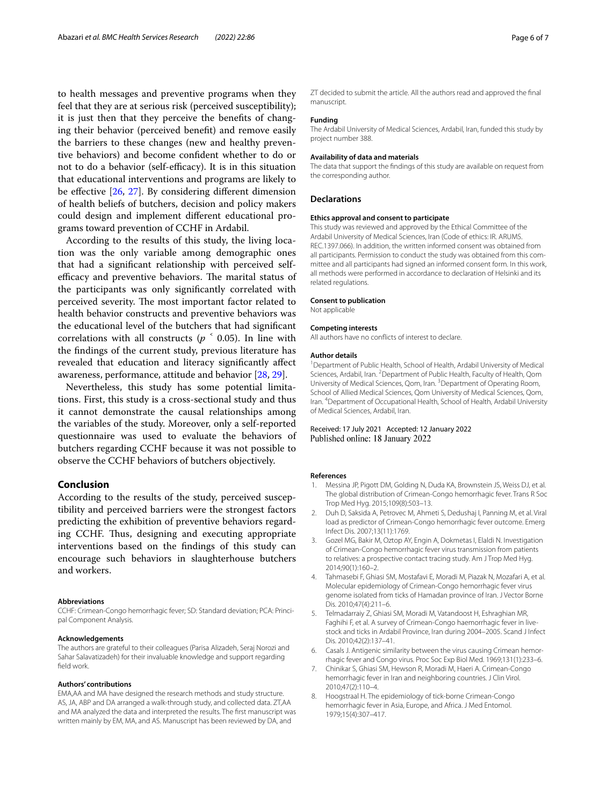to health messages and preventive programs when they feel that they are at serious risk (perceived susceptibility); it is just then that they perceive the benefts of changing their behavior (perceived beneft) and remove easily the barriers to these changes (new and healthy preventive behaviors) and become confdent whether to do or not to do a behavior (self-efficacy). It is in this situation that educational interventions and programs are likely to be effective  $[26, 27]$  $[26, 27]$  $[26, 27]$ . By considering different dimension of health beliefs of butchers, decision and policy makers could design and implement diferent educational programs toward prevention of CCHF in Ardabil.

According to the results of this study, the living location was the only variable among demographic ones that had a signifcant relationship with perceived selfefficacy and preventive behaviors. The marital status of the participants was only signifcantly correlated with perceived severity. The most important factor related to health behavior constructs and preventive behaviors was the educational level of the butchers that had signifcant correlations with all constructs ( $p<sup>2</sup>$  0.05). In line with the fndings of the current study, previous literature has revealed that education and literacy signifcantly afect awareness, performance, attitude and behavior [[28](#page-6-19), [29\]](#page-6-20).

Nevertheless, this study has some potential limitations. First, this study is a cross-sectional study and thus it cannot demonstrate the causal relationships among the variables of the study. Moreover, only a self-reported questionnaire was used to evaluate the behaviors of butchers regarding CCHF because it was not possible to observe the CCHF behaviors of butchers objectively.

# **Conclusion**

According to the results of the study, perceived susceptibility and perceived barriers were the strongest factors predicting the exhibition of preventive behaviors regarding CCHF. Thus, designing and executing appropriate interventions based on the fndings of this study can encourage such behaviors in slaughterhouse butchers and workers.

#### **Abbreviations**

CCHF: Crimean-Congo hemorrhagic fever; SD: Standard deviation; PCA: Princi‑ pal Component Analysis.

#### **Acknowledgements**

The authors are grateful to their colleagues (Parisa Alizadeh, Seraj Norozi and Sahar Salavatizadeh) for their invaluable knowledge and support regarding feld work.

#### **Authors' contributions**

EMA,AA and MA have designed the research methods and study structure. AS, JA, ABP and DA arranged a walk-through study, and collected data. ZT,AA and MA analyzed the data and interpreted the results. The frst manuscript was written mainly by EM, MA, and AS. Manuscript has been reviewed by DA, and

ZT decided to submit the article. All the authors read and approved the fnal manuscript.

#### **Funding**

The Ardabil University of Medical Sciences, Ardabil, Iran, funded this study by project number 388.

#### **Availability of data and materials**

The data that support the fndings of this study are available on request from the corresponding author.

## **Declarations**

#### **Ethics approval and consent to participate**

This study was reviewed and approved by the Ethical Committee of the Ardabil University of Medical Sciences, Iran (Code of ethics: IR. ARUMS. REC.1397.066). In addition, the written informed consent was obtained from all participants. Permission to conduct the study was obtained from this committee and all participants had signed an informed consent form. In this work, all methods were performed in accordance to declaration of Helsinki and its related regulations.

#### **Consent to publication**

Not applicable

#### **Competing interests**

All authors have no conficts of interest to declare.

#### **Author details**

<sup>1</sup> Department of Public Health, School of Health, Ardabil University of Medical Sciences, Ardabil, Iran. <sup>2</sup> Department of Public Health, Faculty of Health, Qom University of Medical Sciences, Qom, Iran. <sup>3</sup> Department of Operating Room, School of Allied Medical Sciences, Qom University of Medical Sciences, Qom, Iran. <sup>4</sup> Department of Occupational Health, School of Health, Ardabil University of Medical Sciences, Ardabil, Iran.

Received: 17 July 2021 Accepted: 12 January 2022<br>Published online: 18 January 2022

#### **References**

- <span id="page-5-0"></span>1. Messina JP, Pigott DM, Golding N, Duda KA, Brownstein JS, Weiss DJ, et al. The global distribution of Crimean-Congo hemorrhagic fever. Trans R Soc Trop Med Hyg. 2015;109(8):503–13.
- <span id="page-5-1"></span>2. Duh D, Saksida A, Petrovec M, Ahmeti S, Dedushaj I, Panning M, et al. Viral load as predictor of Crimean-Congo hemorrhagic fever outcome. Emerg Infect Dis. 2007;13(11):1769.
- <span id="page-5-2"></span>3. Gozel MG, Bakir M, Oztop AY, Engin A, Dokmetas I, Elaldi N. Investigation of Crimean-Congo hemorrhagic fever virus transmission from patients to relatives: a prospective contact tracing study. Am J Trop Med Hyg. 2014;90(1):160–2.
- <span id="page-5-3"></span>4. Tahmasebi F, Ghiasi SM, Mostafavi E, Moradi M, Piazak N, Mozafari A, et al. Molecular epidemiology of Crimean-Congo hemorrhagic fever virus genome isolated from ticks of Hamadan province of Iran. J Vector Borne Dis. 2010;47(4):211–6.
- <span id="page-5-4"></span>5. Telmadarraiy Z, Ghiasi SM, Moradi M, Vatandoost H, Eshraghian MR, Faghihi F, et al. A survey of Crimean-Congo haemorrhagic fever in livestock and ticks in Ardabil Province, Iran during 2004–2005. Scand J Infect Dis. 2010;42(2):137–41.
- <span id="page-5-5"></span>6. Casals J. Antigenic similarity between the virus causing Crimean hemorrhagic fever and Congo virus. Proc Soc Exp Biol Med. 1969;131(1):233–6.
- <span id="page-5-7"></span>7. Chinikar S, Ghiasi SM, Hewson R, Moradi M, Haeri A. Crimean-Congo hemorrhagic fever in Iran and neighboring countries. J Clin Virol. 2010;47(2):110–4.
- <span id="page-5-6"></span>8. Hoogstraal H. The epidemiology of tick-borne Crimean-Congo hemorrhagic fever in Asia, Europe, and Africa. J Med Entomol. 1979;15(4):307–417.